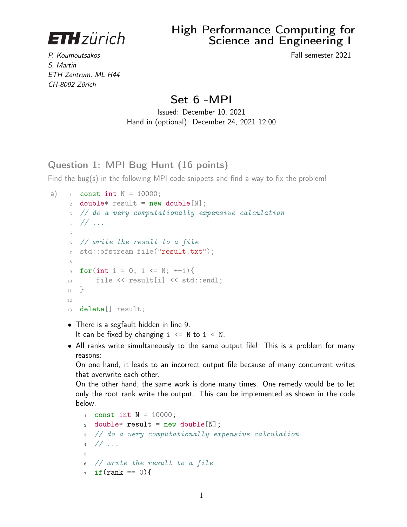**ETH**zürich

P. Koumoutsakos Fall semester 2021 S. Martin ETH Zentrum, ML H44 CH-8092 Zürich

# Set 6 -MPI

Issued: December 10, 2021 Hand in (optional): December 24, 2021 12:00

Question 1: MPI Bug Hunt (16 points)

Find the bug(s) in the following MPI code snippets and find a way to fix the problem!

```
a) _1 const int N = 10000;
    2 double* result = new double[N];3 // do a very computationally expensive calculation
    4 // ...
    5
      6 // write the result to a file
    7 std::ofstream file("result.txt");
    8
    9 for(int i = 0; i <= N; ++i){
    10 file << result[i] << std::endl;
    _{11} }
    12
    13 delete[] result;
```
- There is a segfault hidden in line 9. It can be fixed by changing  $i \leq N$  to  $i \leq N$ .
- All ranks write simultaneously to the same output file! This is a problem for many reasons:

On one hand, it leads to an incorrect output file because of many concurrent writes that overwrite each other.

On the other hand, the same work is done many times. One remedy would be to let only the root rank write the output. This can be implemented as shown in the code below.

```
\frac{1}{1} const int N = 10000;
2 double* result = new double[N];
3 // do a very computationally expensive calculation
4 // ...
5
6 // write the result to a file
7 \text{ if (rank == 0)}
```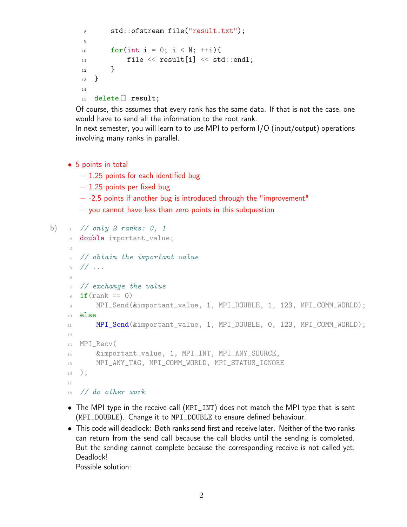```
8 std::ofstream file("result.txt");
9
10 for(int i = 0; i < N; ++i){
11 file \langle \rangle result \lceil i \rceil \langle \rangle std::endl:
12 }
13 }
14
15 delete[] result;
```
Of course, this assumes that every rank has the same data. If that is not the case, one would have to send all the information to the root rank.

In next semester, you will learn to to use MPI to perform I/O (input/output) operations involving many ranks in parallel.

- 5 points in total
	- $-1.25$  points for each identified bug
	- $-1.25$  points per fixed bug
	- $-$  -2.5 points if another bug is introduced through the "improvement"
	- you cannot have less than zero points in this subquestion

```
b) 1 / \text{only } 2 \text{ ranks: } 0, 12 double important_value;
     3
       4 // obtain the important value
     5 / / / ...6
       // exchange the value
       if(rank == 0)9 MPI_Send(&important_value, 1, MPI_DOUBLE, 1, 123, MPI_COMM_WORLD);
    10 else
    11 MPI_Send(&important_value, 1, MPI_DOUBLE, 0, 123, MPI_COMM_WORLD);
    12
    13 MPI_Recv(
    14 &important_value, 1, MPI_INT, MPI_ANY_SOURCE,
    15 MPI_ANY_TAG, MPI_COMM_WORLD, MPI_STATUS_IGNORE
    _{16} );
    17
    18 // do other work
```
- The MPI type in the receive call (MPI\_INT) does not match the MPI type that is sent (MPI\_DOUBLE). Change it to MPI\_DOUBLE to ensure defined behaviour.
- This code will deadlock: Both ranks send first and receive later. Neither of the two ranks can return from the send call because the call blocks until the sending is completed. But the sending cannot complete because the corresponding receive is not called yet. Deadlock!

Possible solution: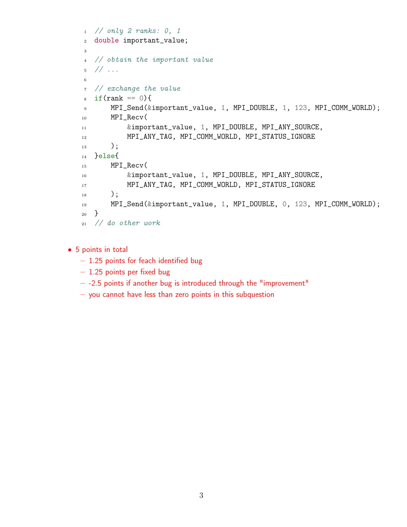```
1 // only 2 ranks: 0, 1
2 double important_value;
3
4 // obtain the important value
5 // ...
6
7 // exchange the value
\sinh s = 0}
9 MPI_Send(&important_value, 1, MPI_DOUBLE, 1, 123, MPI_COMM_WORLD);
10 MPI_Recv(
11 8 &important_value, 1, MPI_DOUBLE, MPI_ANY_SOURCE,
12 MPI_ANY_TAG, MPI_COMM_WORLD, MPI_STATUS_IGNORE
_{13} );
14 }else{
15 MPI_Recv(
16 &important_value, 1, MPI_DOUBLE, MPI_ANY_SOURCE,
17 MPI_ANY_TAG, MPI_COMM_WORLD, MPI_STATUS_IGNORE
18 );
19 MPI_Send(&important_value, 1, MPI_DOUBLE, 0, 123, MPI_COMM_WORLD);
20 }
21 // do other work
```
- 5 points in total
	- 1.25 points for feach identified bug
	- $-1.25$  points per fixed bug
	- $-$  -2.5 points if another bug is introduced through the "improvement"
	- you cannot have less than zero points in this subquestion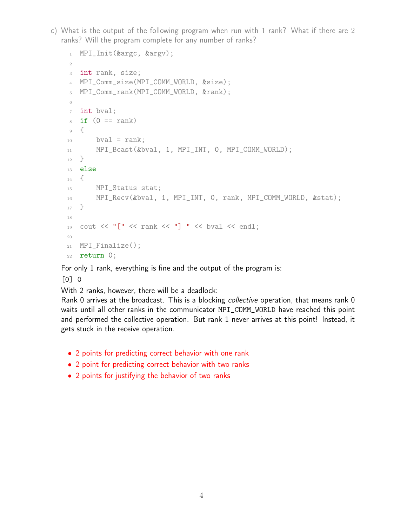c) What is the output of the following program when run with 1 rank? What if there are 2 ranks? Will the program complete for any number of ranks?

```
1 MPI_Init(&argc, &argv);
\overline{2}3 int rank, size;
4 MPI_Comm_size(MPI_COMM_WORLD, &size);
5 MPI_Comm_rank(MPI_COMM_WORLD, &rank);
6
7 int bval;
\sin if (0 == rank)9 {
10 bval = rank;
11 MPI_Bcast(&bval, 1, MPI_INT, 0, MPI_COMM_WORLD);
12 }
13 else
14 \frac{1}{2}15 MPI_Status stat;
16 MPI_Recv(&bval, 1, MPI_INT, 0, rank, MPI_COMM_WORLD, &stat);
17 }
18
19 cout \lt\lt "[" \lt\lt rank \lt\lt "] " \lt\lt bval \lt\lt endl;
20
21 MPI_Finalize();
22 return 0;
```
For only 1 rank, everything is fine and the output of the program is:

[0] 0

With 2 ranks, however, there will be a deadlock:

Rank 0 arrives at the broadcast. This is a blocking *collective* operation, that means rank 0 waits until all other ranks in the communicator MPI\_COMM\_WORLD have reached this point and performed the collective operation. But rank 1 never arrives at this point! Instead, it gets stuck in the receive operation.

- 2 points for predicting correct behavior with one rank
- 2 point for predicting correct behavior with two ranks
- 2 points for justifying the behavior of two ranks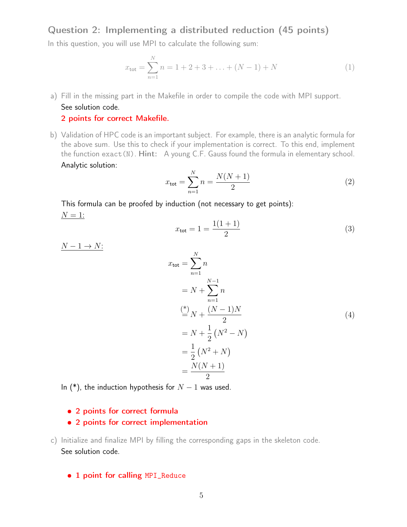Question 2: Implementing a distributed reduction (45 points)

In this question, you will use MPI to calculate the following sum:

$$
x_{\text{tot}} = \sum_{n=1}^{N} n = 1 + 2 + 3 + \dots + (N - 1) + N \tag{1}
$$

a) Fill in the missing part in the Makefile in order to compile the code with MPI support. See solution code.

# 2 points for correct Makefile.

b) Validation of HPC code is an important subject. For example, there is an analytic formula for the above sum. Use this to check if your implementation is correct. To this end, implement the function exact(N). Hint: A young C.F. Gauss found the formula in elementary school. Analytic solution:

$$
x_{\text{tot}} = \sum_{n=1}^{N} n = \frac{N(N+1)}{2} \tag{2}
$$

This formula can be proofed by induction (not necessary to get points):  $N=1$ :

$$
x_{\text{tot}} = 1 = \frac{1(1+1)}{2} \tag{3}
$$

 $N-1 \rightarrow N$ :

$$
x_{\text{tot}} = \sum_{n=1}^{N} n
$$
  
=  $N + \sum_{n=1}^{N-1} n$   

$$
\stackrel{\text{(*)}}{=} N + \frac{(N-1)N}{2}
$$
  
=  $N + \frac{1}{2} (N^2 - N)$   
=  $\frac{1}{2} (N^2 + N)$   
=  $\frac{N(N+1)}{2}$ 

In (\*), the induction hypothesis for  $N-1$  was used.

### • 2 points for correct formula

## • 2 points for correct implementation

- c) Initialize and finalize MPI by filling the corresponding gaps in the skeleton code. See solution code.
	- 1 point for calling MPI\_Reduce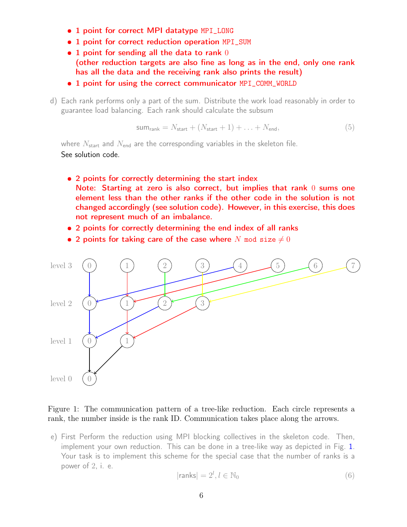- 1 point for correct MPI datatype MPI\_LONG
- 1 point for correct reduction operation MPI\_SUM
- $\bullet$  1 point for sending all the data to rank  $0$ (other reduction targets are also fine as long as in the end, only one rank has all the data and the receiving rank also prints the result)
- 1 point for using the correct communicator MPI\_COMM\_WORLD
- d) Each rank performs only a part of the sum. Distribute the work load reasonably in order to guarantee load balancing. Each rank should calculate the subsum

$$
sum_{rank} = N_{start} + (N_{start} + 1) + \ldots + N_{end},
$$
\n(5)

where  $N_{\text{start}}$  and  $N_{\text{end}}$  are the corresponding variables in the skeleton file. See solution code.

- 2 points for correctly determining the start index Note: Starting at zero is also correct, but implies that rank 0 sums one element less than the other ranks if the other code in the solution is not changed accordingly (see solution code). However, in this exercise, this does not represent much of an imbalance.
- 2 points for correctly determining the end index of all ranks
- 2 points for taking care of the case where N mod size  $\neq 0$



### <span id="page-5-0"></span>Figure 1: The communication pattern of a tree-like reduction. Each circle represents a rank, the number inside is the rank ID. Communication takes place along the arrows.

e) First Perform the reduction using MPI blocking collectives in the skeleton code. Then, implement your own reduction. This can be done in a tree-like way as depicted in Fig. [1.](#page-5-0) Your task is to implement this scheme for the special case that the number of ranks is a power of 2, i. e.

$$
|\text{ranks}| = 2^l, l \in \mathbb{N}_0 \tag{6}
$$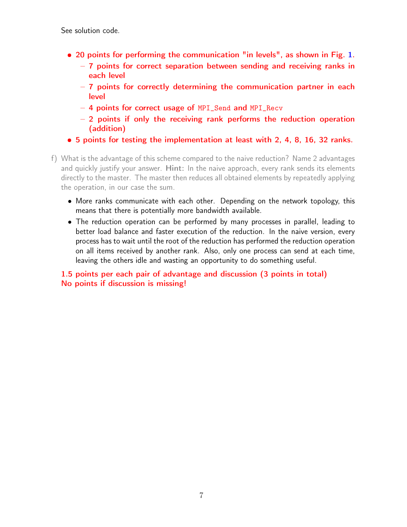See solution code.

- 20 points for performing the communication "in levels", as shown in Fig. [1.](#page-5-0)
	- 7 points for correct separation between sending and receiving ranks in each level
	- 7 points for correctly determining the communication partner in each level
	- 4 points for correct usage of MPI\_Send and MPI\_Recv
	- 2 points if only the receiving rank performs the reduction operation (addition)
- 5 points for testing the implementation at least with 2, 4, 8, 16, 32 ranks.
- f) What is the advantage of this scheme compared to the naive reduction? Name 2 advantages and quickly justify your answer. Hint: In the naive approach, every rank sends its elements directly to the master. The master then reduces all obtained elements by repeatedly applying the operation, in our case the sum.
	- More ranks communicate with each other. Depending on the network topology, this means that there is potentially more bandwidth available.
	- The reduction operation can be performed by many processes in parallel, leading to better load balance and faster execution of the reduction. In the naive version, every process has to wait until the root of the reduction has performed the reduction operation on all items received by another rank. Also, only one process can send at each time, leaving the others idle and wasting an opportunity to do something useful.

1.5 points per each pair of advantage and discussion (3 points in total) No points if discussion is missing!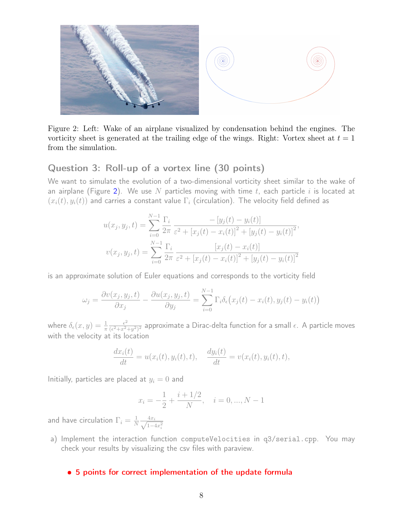

Figure 2: Left: Wake of an airplane visualized by condensation behind the engines. The vorticity sheet is generated at the trailing edge of the wings. Right: Vortex sheet at  $t = 1$ from the simulation.

# Question 3: Roll-up of a vortex line (30 points)

We want to simulate the evolution of a two-dimensional vorticity sheet similar to the wake of an airplane (Figure [2\)](#page-7-0). We use N particles moving with time t, each particle i is located at  $(x_i(t), y_i(t))$  and carries a constant value  $\Gamma_i$  (circulation). The velocity field defined as

<span id="page-7-0"></span>
$$
u(x_j, y_j, t) = \sum_{i=0}^{N-1} \frac{\Gamma_i}{2\pi} \frac{-[y_j(t) - y_i(t)]}{\varepsilon^2 + [x_j(t) - x_i(t)]^2 + [y_j(t) - y_i(t)]^2},
$$
  

$$
v(x_j, y_j, t) = \sum_{i=0}^{N-1} \frac{\Gamma_i}{2\pi} \frac{[x_j(t) - x_i(t)]}{\varepsilon^2 + [x_j(t) - x_i(t)]^2 + [y_j(t) - y_i(t)]^2}
$$

is an approximate solution of Euler equations and corresponds to the vorticity field

$$
\omega_j = \frac{\partial v(x_j, y_j, t)}{\partial x_j} - \frac{\partial u(x_j, y_j, t)}{\partial y_j} = \sum_{i=0}^{N-1} \Gamma_i \delta_{\epsilon}(x_j(t) - x_i(t), y_j(t) - y_i(t))
$$

where  $\delta_{\epsilon}(x,y) = \frac{1}{\pi}$  $\epsilon^2$  $\frac{\epsilon^2}{(\epsilon^2+x^2+y^2)^2}$  approximate a Dirac-delta function for a small  $\epsilon$ . A particle moves with the velocity at its location

$$
\frac{dx_i(t)}{dt} = u(x_i(t), y_i(t), t), \quad \frac{dy_i(t)}{dt} = v(x_i(t), y_i(t), t),
$$

Initially, particles are placed at  $y_i = 0$  and

$$
x_i = -\frac{1}{2} + \frac{i + 1/2}{N}, \quad i = 0, ..., N - 1
$$

and have circulation  $\Gamma_i = \frac{1}{N}$  $\frac{1}{N} \frac{4x_i}{\sqrt{1-\epsilon}}$  $1 - 4x_i^2$ 

a) Implement the interaction function computeVelocities in q3/serial.cpp. You may check your results by visualizing the csv files with paraview.

#### • 5 points for correct implementation of the update formula